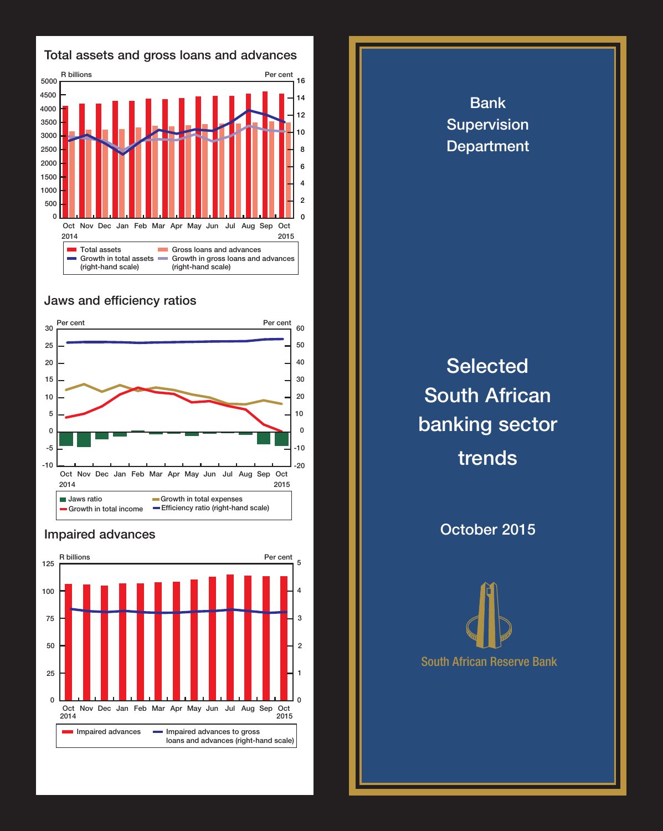

## Jaws and efficiency ratios



## Impaired advances



Bank Supervision **Department Selected** South African banking sector trends October 2015

South African Reserve Bank